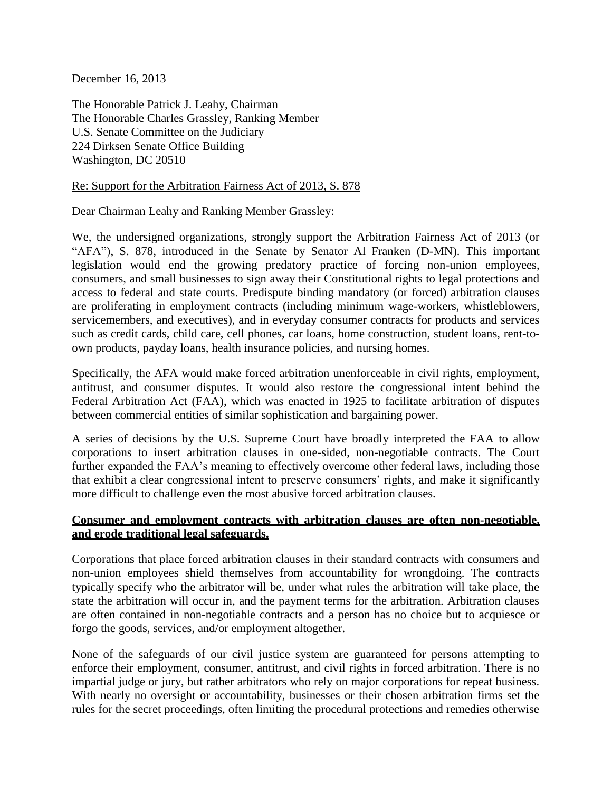December 16, 2013

The Honorable Patrick J. Leahy, Chairman The Honorable Charles Grassley, Ranking Member U.S. Senate Committee on the Judiciary 224 Dirksen Senate Office Building Washington, DC 20510

## Re: Support for the Arbitration Fairness Act of 2013, S. 878

Dear Chairman Leahy and Ranking Member Grassley:

We, the undersigned organizations, strongly support the Arbitration Fairness Act of 2013 (or "AFA"), S. 878, introduced in the Senate by Senator Al Franken (D-MN). This important legislation would end the growing predatory practice of forcing non-union employees, consumers, and small businesses to sign away their Constitutional rights to legal protections and access to federal and state courts. Predispute binding mandatory (or forced) arbitration clauses are proliferating in employment contracts (including minimum wage-workers, whistleblowers, servicemembers, and executives), and in everyday consumer contracts for products and services such as credit cards, child care, cell phones, car loans, home construction, student loans, rent-toown products, payday loans, health insurance policies, and nursing homes.

Specifically, the AFA would make forced arbitration unenforceable in civil rights, employment, antitrust, and consumer disputes. It would also restore the congressional intent behind the Federal Arbitration Act (FAA), which was enacted in 1925 to facilitate arbitration of disputes between commercial entities of similar sophistication and bargaining power.

A series of decisions by the U.S. Supreme Court have broadly interpreted the FAA to allow corporations to insert arbitration clauses in one-sided, non-negotiable contracts. The Court further expanded the FAA's meaning to effectively overcome other federal laws, including those that exhibit a clear congressional intent to preserve consumers' rights, and make it significantly more difficult to challenge even the most abusive forced arbitration clauses.

## **Consumer and employment contracts with arbitration clauses are often non-negotiable, and erode traditional legal safeguards.**

Corporations that place forced arbitration clauses in their standard contracts with consumers and non-union employees shield themselves from accountability for wrongdoing. The contracts typically specify who the arbitrator will be, under what rules the arbitration will take place, the state the arbitration will occur in, and the payment terms for the arbitration. Arbitration clauses are often contained in non-negotiable contracts and a person has no choice but to acquiesce or forgo the goods, services, and/or employment altogether.

None of the safeguards of our civil justice system are guaranteed for persons attempting to enforce their employment, consumer, antitrust, and civil rights in forced arbitration. There is no impartial judge or jury, but rather arbitrators who rely on major corporations for repeat business. With nearly no oversight or accountability, businesses or their chosen arbitration firms set the rules for the secret proceedings, often limiting the procedural protections and remedies otherwise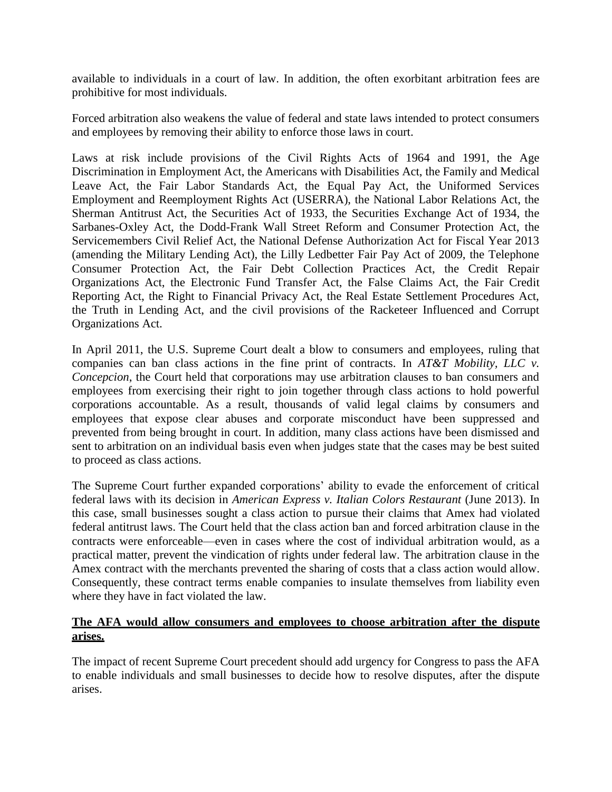available to individuals in a court of law. In addition, the often exorbitant arbitration fees are prohibitive for most individuals.

Forced arbitration also weakens the value of federal and state laws intended to protect consumers and employees by removing their ability to enforce those laws in court.

Laws at risk include provisions of the Civil Rights Acts of 1964 and 1991, the Age Discrimination in Employment Act, the Americans with Disabilities Act, the Family and Medical Leave Act, the Fair Labor Standards Act, the Equal Pay Act, the Uniformed Services Employment and Reemployment Rights Act (USERRA), the National Labor Relations Act, the Sherman Antitrust Act, the Securities Act of 1933, the Securities Exchange Act of 1934, the Sarbanes-Oxley Act, the Dodd-Frank Wall Street Reform and Consumer Protection Act, the Servicemembers Civil Relief Act, the National Defense Authorization Act for Fiscal Year 2013 (amending the Military Lending Act), the Lilly Ledbetter Fair Pay Act of 2009, the Telephone Consumer Protection Act, the Fair Debt Collection Practices Act, the Credit Repair Organizations Act, the Electronic Fund Transfer Act, the False Claims Act, the Fair Credit Reporting Act, the Right to Financial Privacy Act, the Real Estate Settlement Procedures Act, the Truth in Lending Act, and the civil provisions of the Racketeer Influenced and Corrupt Organizations Act.

In April 2011, the U.S. Supreme Court dealt a blow to consumers and employees, ruling that companies can ban class actions in the fine print of contracts. In *AT&T Mobility, LLC v. Concepcion*, the Court held that corporations may use arbitration clauses to ban consumers and employees from exercising their right to join together through class actions to hold powerful corporations accountable. As a result, thousands of valid legal claims by consumers and employees that expose clear abuses and corporate misconduct have been suppressed and prevented from being brought in court. In addition, many class actions have been dismissed and sent to arbitration on an individual basis even when judges state that the cases may be best suited to proceed as class actions.

The Supreme Court further expanded corporations' ability to evade the enforcement of critical federal laws with its decision in *American Express v. Italian Colors Restaurant* (June 2013). In this case, small businesses sought a class action to pursue their claims that Amex had violated federal antitrust laws. The Court held that the class action ban and forced arbitration clause in the contracts were enforceable—even in cases where the cost of individual arbitration would, as a practical matter, prevent the vindication of rights under federal law. The arbitration clause in the Amex contract with the merchants prevented the sharing of costs that a class action would allow. Consequently, these contract terms enable companies to insulate themselves from liability even where they have in fact violated the law.

## **The AFA would allow consumers and employees to choose arbitration after the dispute arises.**

The impact of recent Supreme Court precedent should add urgency for Congress to pass the AFA to enable individuals and small businesses to decide how to resolve disputes, after the dispute arises.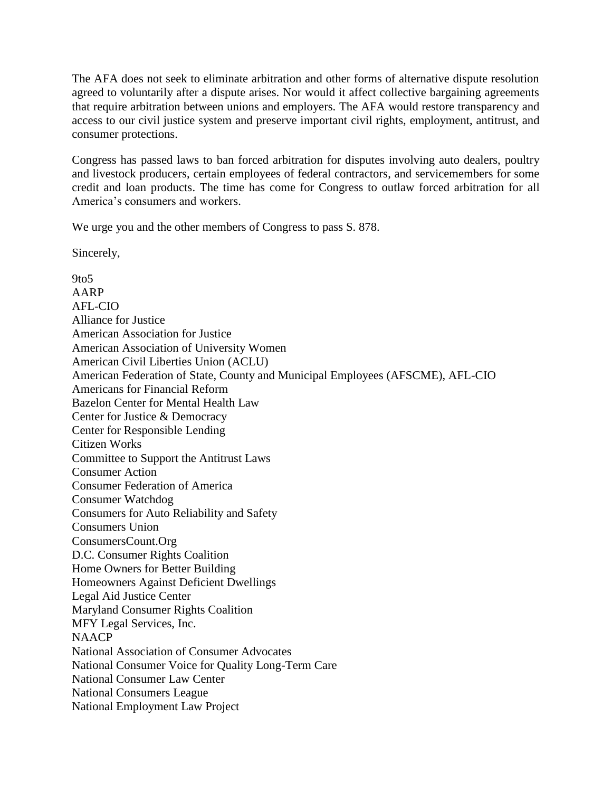The AFA does not seek to eliminate arbitration and other forms of alternative dispute resolution agreed to voluntarily after a dispute arises. Nor would it affect collective bargaining agreements that require arbitration between unions and employers. The AFA would restore transparency and access to our civil justice system and preserve important civil rights, employment, antitrust, and consumer protections.

Congress has passed laws to ban forced arbitration for disputes involving auto dealers, poultry and livestock producers, certain employees of federal contractors, and servicemembers for some credit and loan products. The time has come for Congress to outlaw forced arbitration for all America's consumers and workers.

We urge you and the other members of Congress to pass S. 878.

Sincerely,

9to5 AARP AFL-CIO Alliance for Justice American Association for Justice American Association of University Women American Civil Liberties Union (ACLU) American Federation of State, County and Municipal Employees (AFSCME), AFL-CIO Americans for Financial Reform Bazelon Center for Mental Health Law Center for Justice & Democracy Center for Responsible Lending Citizen Works Committee to Support the Antitrust Laws Consumer Action Consumer Federation of America Consumer Watchdog Consumers for Auto Reliability and Safety Consumers Union ConsumersCount.Org D.C. Consumer Rights Coalition Home Owners for Better Building Homeowners Against Deficient Dwellings Legal Aid Justice Center Maryland Consumer Rights Coalition MFY Legal Services, Inc. **NAACP** National Association of Consumer Advocates National Consumer Voice for Quality Long-Term Care National Consumer Law Center National Consumers League National Employment Law Project